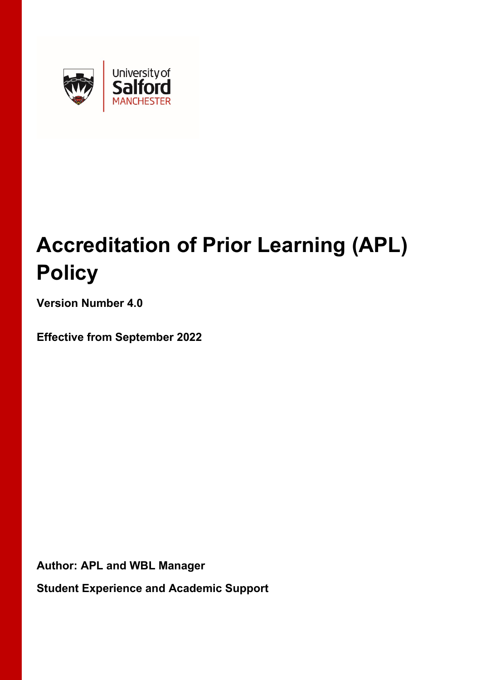

# **Accreditation of Prior Learning (APL) Policy**

**Version Number 4.0**

**Effective from September 2022**

**Author: APL and WBL Manager**

**Student Experience and Academic Support**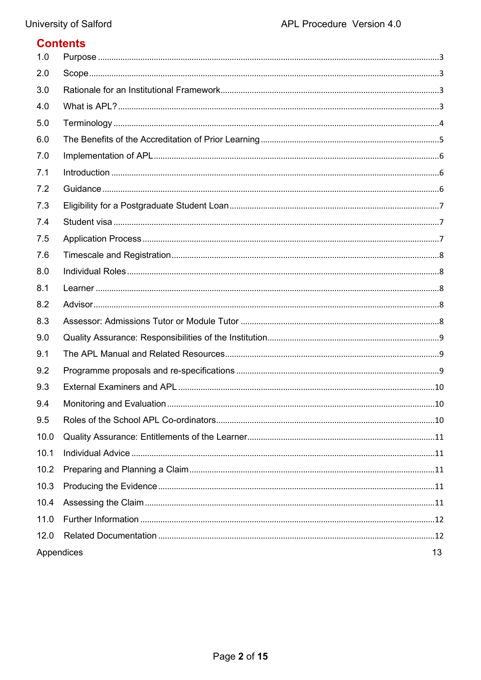## **Contents**

| 1.0  |            |    |
|------|------------|----|
| 2.0  |            |    |
| 3.0  |            |    |
| 4.0  |            |    |
| 5.0  |            |    |
| 6.0  |            |    |
| 7.0  |            |    |
| 7.1  |            |    |
| 7.2  |            |    |
| 7.3  |            |    |
| 7.4  |            |    |
| 7.5  |            |    |
| 7.6  |            |    |
| 8.0  |            |    |
| 8.1  |            |    |
| 8.2  |            |    |
| 8.3  |            |    |
| 9.0  |            |    |
| 9.1  |            |    |
| 9.2  |            |    |
| 9.3  |            |    |
| 9.4  |            |    |
| 9.5  |            |    |
| 10.0 |            |    |
| 10.1 |            |    |
| 10.2 |            |    |
| 10.3 |            |    |
| 10.4 |            |    |
| 11.0 |            |    |
| 12.0 |            |    |
|      | Appendices | 13 |
|      |            |    |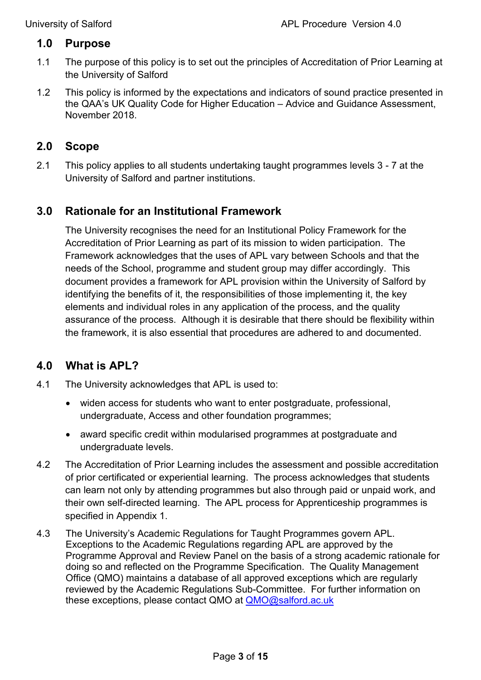## <span id="page-2-0"></span>**1.0 Purpose**

- 1.1 The purpose of this policy is to set out the principles of Accreditation of Prior Learning at the University of Salford
- 1.2 This policy is informed by the expectations and indicators of sound practice presented in the QAA's UK Quality Code for Higher Education – Advice and Guidance Assessment, November 2018.

## <span id="page-2-1"></span>**2.0 Scope**

2.1 This policy applies to all students undertaking taught programmes levels 3 - 7 at the University of Salford and partner institutions.

## <span id="page-2-2"></span>**3.0 Rationale for an Institutional Framework**

The University recognises the need for an Institutional Policy Framework for the Accreditation of Prior Learning as part of its mission to widen participation. The Framework acknowledges that the uses of APL vary between Schools and that the needs of the School, programme and student group may differ accordingly. This document provides a framework for APL provision within the University of Salford by identifying the benefits of it, the responsibilities of those implementing it, the key elements and individual roles in any application of the process, and the quality assurance of the process. Although it is desirable that there should be flexibility within the framework, it is also essential that procedures are adhered to and documented.

#### <span id="page-2-3"></span>**4.0 What is APL?**

- 4.1 The University acknowledges that APL is used to:
	- widen access for students who want to enter postgraduate, professional, undergraduate, Access and other foundation programmes;
	- award specific credit within modularised programmes at postgraduate and undergraduate levels.
- 4.2 The Accreditation of Prior Learning includes the assessment and possible accreditation of prior certificated or experiential learning. The process acknowledges that students can learn not only by attending programmes but also through paid or unpaid work, and their own self-directed learning. The APL process for Apprenticeship programmes is specified in Appendix 1.
- 4.3 The University's Academic Regulations for Taught Programmes govern APL. Exceptions to the Academic Regulations regarding APL are approved by the Programme Approval and Review Panel on the basis of a strong academic rationale for doing so and reflected on the Programme Specification. The Quality Management Office (QMO) maintains a database of all approved exceptions which are regularly reviewed by the Academic Regulations Sub-Committee. For further information on these exceptions, please contact QMO at [QMO@salford.ac.uk](mailto:QMO@salford.ac.uk)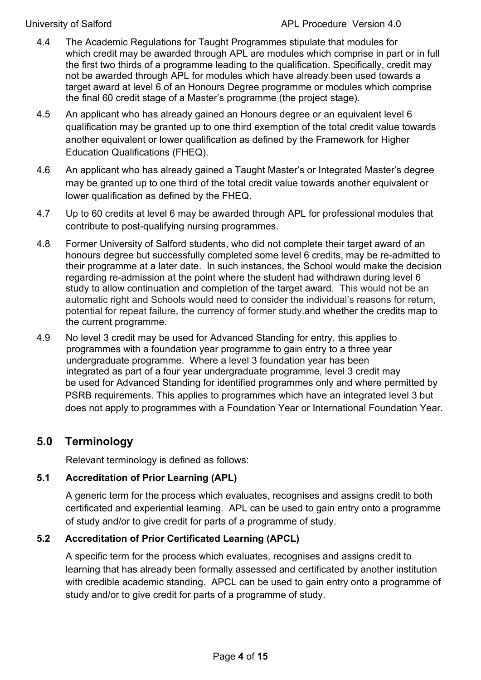- 4.4 The Academic Regulations for Taught Programmes stipulate that modules for which credit may be awarded through APL are modules which comprise in part or in full the first two thirds of a programme leading to the qualification. Specifically, credit may not be awarded through APL for modules which have already been used towards a target award at level 6 of an Honours Degree programme or modules which comprise the final 60 credit stage of a Master's programme (the project stage).
- 4.5 An applicant who has already gained an Honours degree or an equivalent level 6 qualification may be granted up to one third exemption of the total credit value towards another equivalent or lower qualification as defined by the Framework for Higher Education Qualifications (FHEQ).
- 4.6 An applicant who has already gained a Taught Master's or Integrated Master's degree may be granted up to one third of the total credit value towards another equivalent or lower qualification as defined by the FHEQ.
- 4.7 Up to 60 credits at level 6 may be awarded through APL for professional modules that contribute to post-qualifying nursing programmes.
- 4.8 Former University of Salford students, who did not complete their target award of an honours degree but successfully completed some level 6 credits, may be re-admitted to their programme at a later date. In such instances, the School would make the decision regarding re-admission at the point where the student had withdrawn during level 6 study to allow continuation and completion of the target award. This would not be an automatic right and Schools would need to consider the individual's reasons for return, potential for repeat failure, the currency of former study.and whether the credits map to the current programme.
- 4.9 No level 3 credit may be used for Advanced Standing for entry, this applies to programmes with a foundation year programme to gain entry to a three year undergraduate programme. Where a level 3 foundation year has been integrated as part of a four year undergraduate programme, level 3 credit may be used for Advanced Standing for identified programmes only and where permitted by PSRB requirements. This applies to programmes which have an integrated level 3 but does not apply to programmes with a Foundation Year or International Foundation Year.

# <span id="page-3-0"></span>**5.0 Terminology**

Relevant terminology is defined as follows:

#### **5.1 Accreditation of Prior Learning (APL)**

A generic term for the process which evaluates, recognises and assigns credit to both certificated and experiential learning. APL can be used to gain entry onto a programme of study and/or to give credit for parts of a programme of study.

#### **5.2 Accreditation of Prior Certificated Learning (APCL)**

A specific term for the process which evaluates, recognises and assigns credit to learning that has already been formally assessed and certificated by another institution with credible academic standing. APCL can be used to gain entry onto a programme of study and/or to give credit for parts of a programme of study.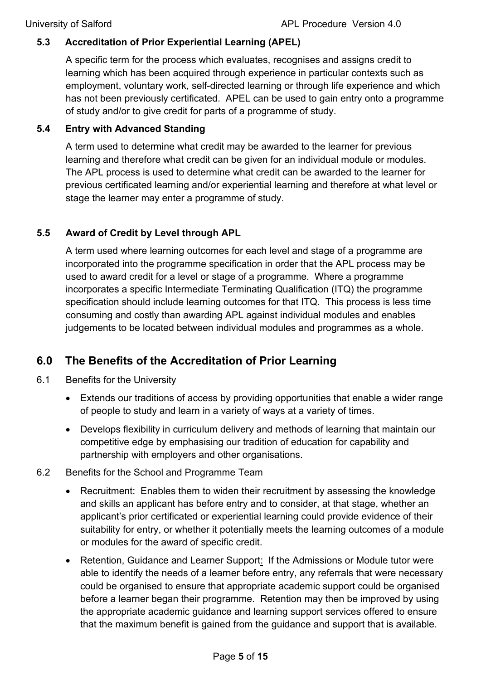#### **5.3 Accreditation of Prior Experiential Learning (APEL)**

A specific term for the process which evaluates, recognises and assigns credit to learning which has been acquired through experience in particular contexts such as employment, voluntary work, self-directed learning or through life experience and which has not been previously certificated. APEL can be used to gain entry onto a programme of study and/or to give credit for parts of a programme of study.

#### **5.4 Entry with Advanced Standing**

A term used to determine what credit may be awarded to the learner for previous learning and therefore what credit can be given for an individual module or modules. The APL process is used to determine what credit can be awarded to the learner for previous certificated learning and/or experiential learning and therefore at what level or stage the learner may enter a programme of study.

#### **5.5 Award of Credit by Level through APL**

A term used where learning outcomes for each level and stage of a programme are incorporated into the programme specification in order that the APL process may be used to award credit for a level or stage of a programme. Where a programme incorporates a specific Intermediate Terminating Qualification (ITQ) the programme specification should include learning outcomes for that ITQ. This process is less time consuming and costly than awarding APL against individual modules and enables judgements to be located between individual modules and programmes as a whole.

# <span id="page-4-0"></span>**6.0 The Benefits of the Accreditation of Prior Learning**

- 6.1 Benefits for the University
	- Extends our traditions of access by providing opportunities that enable a wider range of people to study and learn in a variety of ways at a variety of times.
	- Develops flexibility in curriculum delivery and methods of learning that maintain our competitive edge by emphasising our tradition of education for capability and partnership with employers and other organisations.
- 6.2 Benefits for the School and Programme Team
	- Recruitment: Enables them to widen their recruitment by assessing the knowledge and skills an applicant has before entry and to consider, at that stage, whether an applicant's prior certificated or experiential learning could provide evidence of their suitability for entry, or whether it potentially meets the learning outcomes of a module or modules for the award of specific credit.
	- Retention, Guidance and Learner Support: If the Admissions or Module tutor were able to identify the needs of a learner before entry, any referrals that were necessary could be organised to ensure that appropriate academic support could be organised before a learner began their programme. Retention may then be improved by using the appropriate academic guidance and learning support services offered to ensure that the maximum benefit is gained from the guidance and support that is available.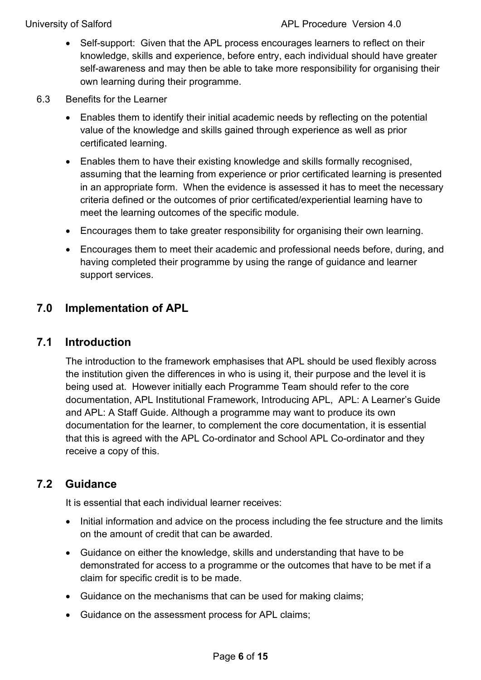- Self-support: Given that the APL process encourages learners to reflect on their knowledge, skills and experience, before entry, each individual should have greater self-awareness and may then be able to take more responsibility for organising their own learning during their programme.
- 6.3 Benefits for the Learner
	- Enables them to identify their initial academic needs by reflecting on the potential value of the knowledge and skills gained through experience as well as prior certificated learning.
	- Enables them to have their existing knowledge and skills formally recognised, assuming that the learning from experience or prior certificated learning is presented in an appropriate form. When the evidence is assessed it has to meet the necessary criteria defined or the outcomes of prior certificated/experiential learning have to meet the learning outcomes of the specific module.
	- Encourages them to take greater responsibility for organising their own learning.
	- Encourages them to meet their academic and professional needs before, during, and having completed their programme by using the range of guidance and learner support services.

# <span id="page-5-0"></span>**7.0 Implementation of APL**

## <span id="page-5-1"></span>**7.1 Introduction**

The introduction to the framework emphasises that APL should be used flexibly across the institution given the differences in who is using it, their purpose and the level it is being used at. However initially each Programme Team should refer to the core documentation, APL Institutional Framework, Introducing APL, APL: A Learner's Guide and APL: A Staff Guide. Although a programme may want to produce its own documentation for the learner, to complement the core documentation, it is essential that this is agreed with the APL Co-ordinator and School APL Co-ordinator and they receive a copy of this.

## <span id="page-5-2"></span>**7.2 Guidance**

It is essential that each individual learner receives:

- Initial information and advice on the process including the fee structure and the limits on the amount of credit that can be awarded.
- Guidance on either the knowledge, skills and understanding that have to be demonstrated for access to a programme or the outcomes that have to be met if a claim for specific credit is to be made.
- Guidance on the mechanisms that can be used for making claims;
- Guidance on the assessment process for APL claims;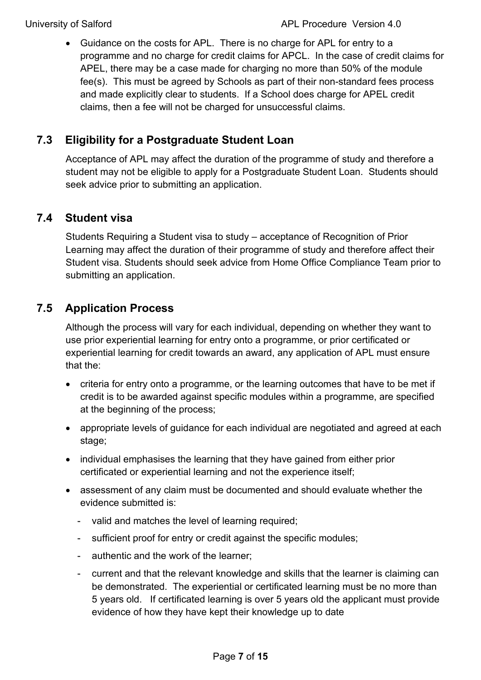• Guidance on the costs for APL. There is no charge for APL for entry to a programme and no charge for credit claims for APCL. In the case of credit claims for APEL, there may be a case made for charging no more than 50% of the module fee(s). This must be agreed by Schools as part of their non-standard fees process and made explicitly clear to students. If a School does charge for APEL credit claims, then a fee will not be charged for unsuccessful claims.

# <span id="page-6-0"></span>**7.3 Eligibility for a Postgraduate Student Loan**

Acceptance of APL may affect the duration of the programme of study and therefore a student may not be eligible to apply for a Postgraduate Student Loan. Students should seek advice prior to submitting an application.

## <span id="page-6-1"></span>**7.4 Student visa**

Students Requiring a Student visa to study – acceptance of Recognition of Prior Learning may affect the duration of their programme of study and therefore affect their Student visa. Students should seek advice from Home Office Compliance Team prior to submitting an application.

## <span id="page-6-2"></span>**7.5 Application Process**

Although the process will vary for each individual, depending on whether they want to use prior experiential learning for entry onto a programme, or prior certificated or experiential learning for credit towards an award, any application of APL must ensure that the:

- criteria for entry onto a programme, or the learning outcomes that have to be met if credit is to be awarded against specific modules within a programme, are specified at the beginning of the process;
- appropriate levels of guidance for each individual are negotiated and agreed at each stage;
- individual emphasises the learning that they have gained from either prior certificated or experiential learning and not the experience itself;
- assessment of any claim must be documented and should evaluate whether the evidence submitted is:
	- valid and matches the level of learning required;
	- sufficient proof for entry or credit against the specific modules;
	- authentic and the work of the learner;
	- current and that the relevant knowledge and skills that the learner is claiming can be demonstrated. The experiential or certificated learning must be no more than 5 years old. If certificated learning is over 5 years old the applicant must provide evidence of how they have kept their knowledge up to date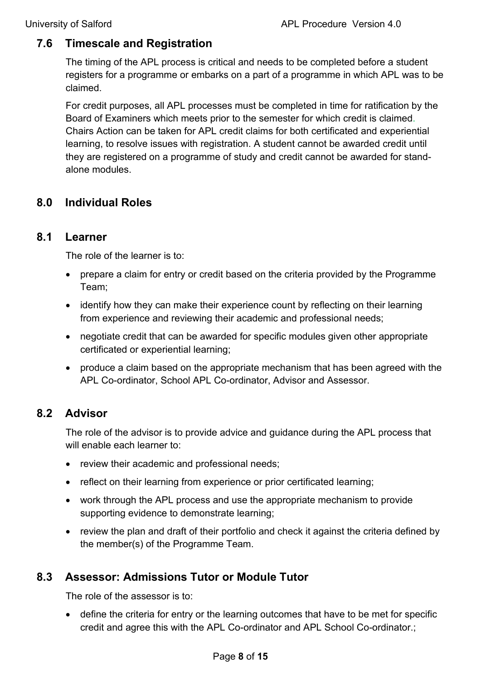# <span id="page-7-0"></span>**7.6 Timescale and Registration**

The timing of the APL process is critical and needs to be completed before a student registers for a programme or embarks on a part of a programme in which APL was to be claimed.

For credit purposes, all APL processes must be completed in time for ratification by the Board of Examiners which meets prior to the semester for which credit is claimed. Chairs Action can be taken for APL credit claims for both certificated and experiential learning, to resolve issues with registration. A student cannot be awarded credit until they are registered on a programme of study and credit cannot be awarded for standalone modules.

# <span id="page-7-1"></span>**8.0 Individual Roles**

#### <span id="page-7-2"></span>**8.1 Learner**

The role of the learner is to:

- prepare a claim for entry or credit based on the criteria provided by the Programme Team;
- identify how they can make their experience count by reflecting on their learning from experience and reviewing their academic and professional needs;
- negotiate credit that can be awarded for specific modules given other appropriate certificated or experiential learning;
- produce a claim based on the appropriate mechanism that has been agreed with the APL Co-ordinator, School APL Co-ordinator, Advisor and Assessor.

## <span id="page-7-3"></span>**8.2 Advisor**

The role of the advisor is to provide advice and guidance during the APL process that will enable each learner to:

- review their academic and professional needs;
- reflect on their learning from experience or prior certificated learning;
- work through the APL process and use the appropriate mechanism to provide supporting evidence to demonstrate learning;
- review the plan and draft of their portfolio and check it against the criteria defined by the member(s) of the Programme Team.

# <span id="page-7-4"></span>**8.3 Assessor: Admissions Tutor or Module Tutor**

The role of the assessor is to:

• define the criteria for entry or the learning outcomes that have to be met for specific credit and agree this with the APL Co-ordinator and APL School Co-ordinator.;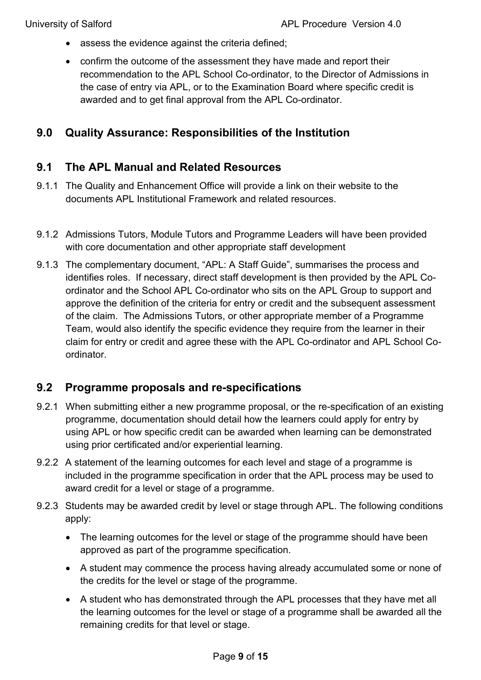- assess the evidence against the criteria defined;
- confirm the outcome of the assessment they have made and report their recommendation to the APL School Co-ordinator, to the Director of Admissions in the case of entry via APL, or to the Examination Board where specific credit is awarded and to get final approval from the APL Co-ordinator.

## <span id="page-8-0"></span>**9.0 Quality Assurance: Responsibilities of the Institution**

## <span id="page-8-1"></span>**9.1 The APL Manual and Related Resources**

- 9.1.1 The Quality and Enhancement Office will provide a link on their website to the documents APL Institutional Framework and related resources.
- 9.1.2 Admissions Tutors, Module Tutors and Programme Leaders will have been provided with core documentation and other appropriate staff development
- 9.1.3 The complementary document, "APL: A Staff Guide", summarises the process and identifies roles. If necessary, direct staff development is then provided by the APL Coordinator and the School APL Co-ordinator who sits on the APL Group to support and approve the definition of the criteria for entry or credit and the subsequent assessment of the claim. The Admissions Tutors, or other appropriate member of a Programme Team, would also identify the specific evidence they require from the learner in their claim for entry or credit and agree these with the APL Co-ordinator and APL School Coordinator.

## <span id="page-8-2"></span>**9.2 Programme proposals and re-specifications**

- 9.2.1 When submitting either a new programme proposal, or the re-specification of an existing programme, documentation should detail how the learners could apply for entry by using APL or how specific credit can be awarded when learning can be demonstrated using prior certificated and/or experiential learning.
- 9.2.2 A statement of the learning outcomes for each level and stage of a programme is included in the programme specification in order that the APL process may be used to award credit for a level or stage of a programme.
- 9.2.3 Students may be awarded credit by level or stage through APL. The following conditions apply:
	- The learning outcomes for the level or stage of the programme should have been approved as part of the programme specification.
	- A student may commence the process having already accumulated some or none of the credits for the level or stage of the programme.
	- A student who has demonstrated through the APL processes that they have met all the learning outcomes for the level or stage of a programme shall be awarded all the remaining credits for that level or stage.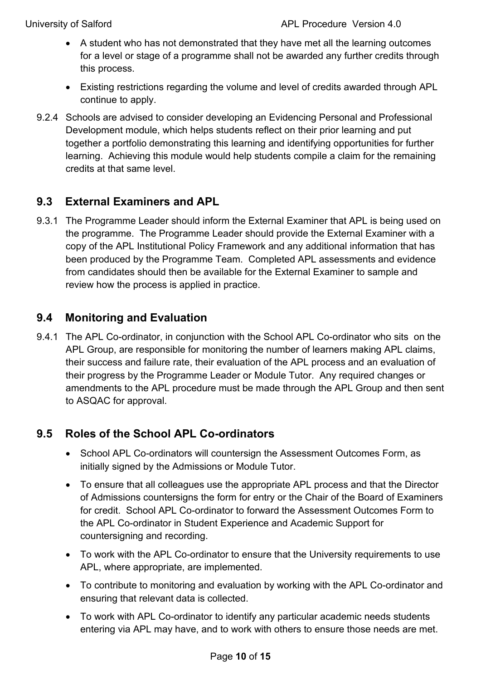- A student who has not demonstrated that they have met all the learning outcomes for a level or stage of a programme shall not be awarded any further credits through this process.
- Existing restrictions regarding the volume and level of credits awarded through APL continue to apply.
- 9.2.4 Schools are advised to consider developing an Evidencing Personal and Professional Development module, which helps students reflect on their prior learning and put together a portfolio demonstrating this learning and identifying opportunities for further learning. Achieving this module would help students compile a claim for the remaining credits at that same level.

# <span id="page-9-0"></span>**9.3 External Examiners and APL**

9.3.1 The Programme Leader should inform the External Examiner that APL is being used on the programme. The Programme Leader should provide the External Examiner with a copy of the APL Institutional Policy Framework and any additional information that has been produced by the Programme Team. Completed APL assessments and evidence from candidates should then be available for the External Examiner to sample and review how the process is applied in practice.

# <span id="page-9-1"></span>**9.4 Monitoring and Evaluation**

9.4.1 The APL Co-ordinator, in conjunction with the School APL Co-ordinator who sits on the APL Group, are responsible for monitoring the number of learners making APL claims, their success and failure rate, their evaluation of the APL process and an evaluation of their progress by the Programme Leader or Module Tutor. Any required changes or amendments to the APL procedure must be made through the APL Group and then sent to ASQAC for approval.

# <span id="page-9-2"></span>**9.5 Roles of the School APL Co-ordinators**

- School APL Co-ordinators will countersign the Assessment Outcomes Form, as initially signed by the Admissions or Module Tutor.
- To ensure that all colleagues use the appropriate APL process and that the Director of Admissions countersigns the form for entry or the Chair of the Board of Examiners for credit. School APL Co-ordinator to forward the Assessment Outcomes Form to the APL Co-ordinator in Student Experience and Academic Support for countersigning and recording.
- To work with the APL Co-ordinator to ensure that the University requirements to use APL, where appropriate, are implemented.
- To contribute to monitoring and evaluation by working with the APL Co-ordinator and ensuring that relevant data is collected.
- To work with APL Co-ordinator to identify any particular academic needs students entering via APL may have, and to work with others to ensure those needs are met.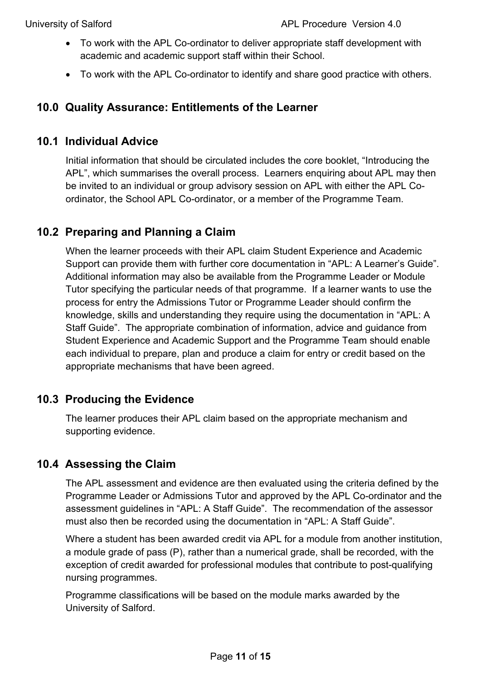- To work with the APL Co-ordinator to deliver appropriate staff development with academic and academic support staff within their School.
- To work with the APL Co-ordinator to identify and share good practice with others.

## <span id="page-10-0"></span>**10.0 Quality Assurance: Entitlements of the Learner**

## <span id="page-10-1"></span>**10.1 Individual Advice**

Initial information that should be circulated includes the core booklet, "Introducing the APL", which summarises the overall process. Learners enquiring about APL may then be invited to an individual or group advisory session on APL with either the APL Coordinator, the School APL Co-ordinator, or a member of the Programme Team.

## <span id="page-10-2"></span>**10.2 Preparing and Planning a Claim**

When the learner proceeds with their APL claim Student Experience and Academic Support can provide them with further core documentation in "APL: A Learner's Guide". Additional information may also be available from the Programme Leader or Module Tutor specifying the particular needs of that programme. If a learner wants to use the process for entry the Admissions Tutor or Programme Leader should confirm the knowledge, skills and understanding they require using the documentation in "APL: A Staff Guide". The appropriate combination of information, advice and guidance from Student Experience and Academic Support and the Programme Team should enable each individual to prepare, plan and produce a claim for entry or credit based on the appropriate mechanisms that have been agreed.

# <span id="page-10-3"></span>**10.3 Producing the Evidence**

The learner produces their APL claim based on the appropriate mechanism and supporting evidence.

## <span id="page-10-4"></span>**10.4 Assessing the Claim**

The APL assessment and evidence are then evaluated using the criteria defined by the Programme Leader or Admissions Tutor and approved by the APL Co-ordinator and the assessment guidelines in "APL: A Staff Guide". The recommendation of the assessor must also then be recorded using the documentation in "APL: A Staff Guide".

Where a student has been awarded credit via APL for a module from another institution, a module grade of pass (P), rather than a numerical grade, shall be recorded, with the exception of credit awarded for professional modules that contribute to post-qualifying nursing programmes.

Programme classifications will be based on the module marks awarded by the University of Salford.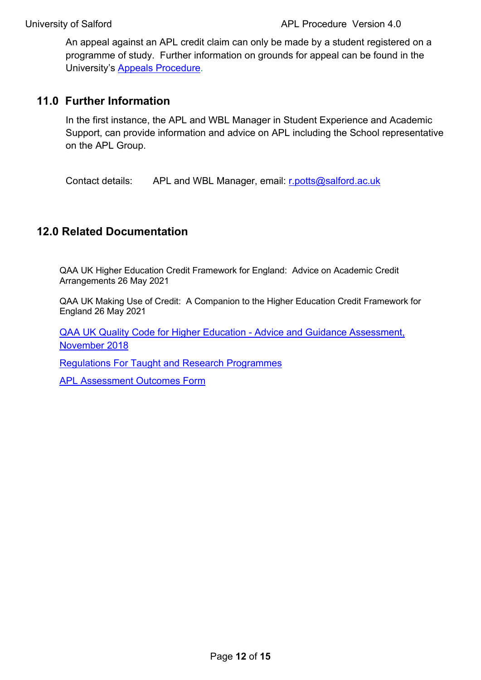An appeal against an APL credit claim can only be made by a student registered on a programme of study. Further information on grounds for appeal can be found in the University's [Appeals Procedure.](https://www.salford.ac.uk/sites/default/files/2020-09/AcademicAppealsProcedure.pdf)

## <span id="page-11-0"></span>**11.0 Further Information**

In the first instance, the APL and WBL Manager in Student Experience and Academic Support, can provide information and advice on APL including the School representative on the APL Group.

Contact details: APL and WBL Manager, email: [r.potts@salford.ac.uk](mailto:r.potts@salford.ac.uk)

## <span id="page-11-1"></span>**12.0 Related Documentation**

QAA UK Higher Education Credit Framework for England: Advice on Academic Credit Arrangements 26 May 2021

QAA UK Making Use of Credit: A Companion to the Higher Education Credit Framework for England 26 May 2021

[QAA UK Quality Code for Higher Education - Advice and Guidance Assessment,](https://www.qaa.ac.uk/en/quality-code/advice-and-guidance/assessment)  [November 2018](https://www.qaa.ac.uk/en/quality-code/advice-and-guidance/assessment)

[Regulations For Taught and Research Programmes](https://www.salford.ac.uk/governance-and-management/academic-handbook)

**APL Assessment Outcomes Form**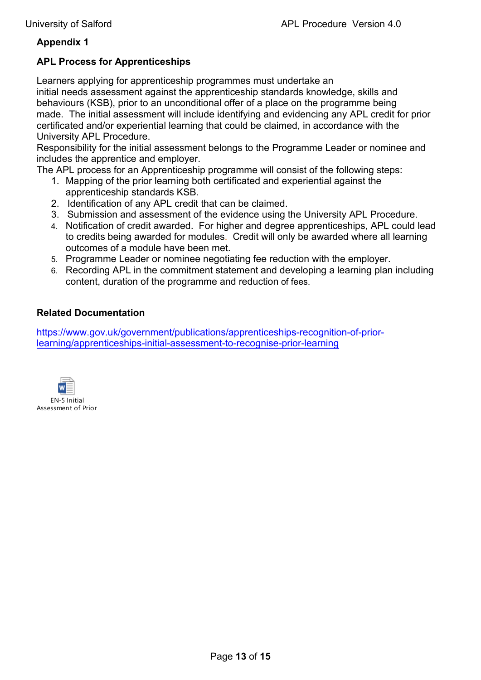#### **Appendix 1**

#### **APL Process for Apprenticeships**

Learners applying for apprenticeship programmes must undertake an initial needs assessment against the apprenticeship standards knowledge, skills and behaviours (KSB), prior to an unconditional offer of a place on the programme being made. The initial assessment will include identifying and evidencing any APL credit for prior certificated and/or experiential learning that could be claimed, in accordance with the University APL Procedure.

Responsibility for the initial assessment belongs to the Programme Leader or nominee and includes the apprentice and employer.

The APL process for an Apprenticeship programme will consist of the following steps:

- 1. Mapping of the prior learning both certificated and experiential against the apprenticeship standards KSB.
- 2. Identification of any APL credit that can be claimed.
- 3. Submission and assessment of the evidence using the University APL Procedure.
- 4. Notification of credit awarded. For higher and degree apprenticeships, APL could lead to credits being awarded for modules. Credit will only be awarded where all learning outcomes of a module have been met.
- 5. Programme Leader or nominee negotiating fee reduction with the employer.
- 6. Recording APL in the commitment statement and developing a learning plan including content, duration of the programme and reduction of fees.

#### **Related Documentation**

[https://www.gov.uk/government/publications/apprenticeships-recognition-of-prior](https://www.gov.uk/government/publications/apprenticeships-recognition-of-prior-learning/apprenticeships-initial-assessment-to-recognise-prior-learning)[learning/apprenticeships-initial-assessment-to-recognise-prior-learning](https://www.gov.uk/government/publications/apprenticeships-recognition-of-prior-learning/apprenticeships-initial-assessment-to-recognise-prior-learning)

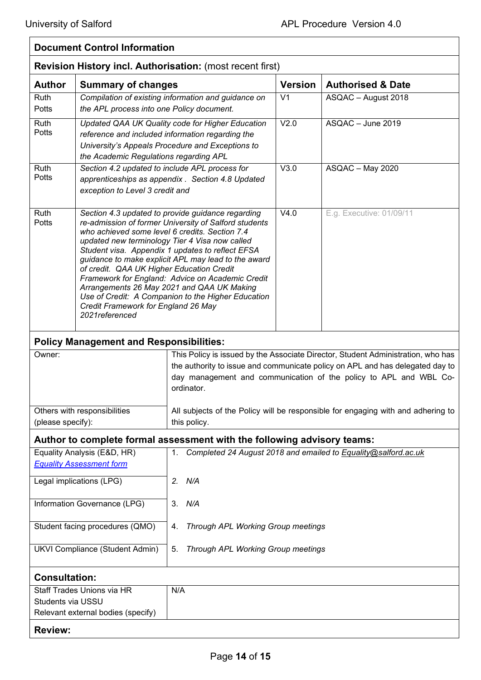$\mathbf{r}$ 

| <b>Document Control Information</b><br><b>Revision History incl. Authorisation: (most recent first)</b> |                                                                                                                                                                                                         |                                                                                                                                                                                                                                                                                                                                                                               |                             |                                                                |  |  |
|---------------------------------------------------------------------------------------------------------|---------------------------------------------------------------------------------------------------------------------------------------------------------------------------------------------------------|-------------------------------------------------------------------------------------------------------------------------------------------------------------------------------------------------------------------------------------------------------------------------------------------------------------------------------------------------------------------------------|-----------------------------|----------------------------------------------------------------|--|--|
|                                                                                                         |                                                                                                                                                                                                         |                                                                                                                                                                                                                                                                                                                                                                               |                             |                                                                |  |  |
| Ruth<br>Potts                                                                                           | the APL process into one Policy document.                                                                                                                                                               | Compilation of existing information and guidance on                                                                                                                                                                                                                                                                                                                           | V <sub>1</sub>              | ASQAC - August 2018                                            |  |  |
| Ruth<br>Potts                                                                                           | the Academic Regulations regarding APL                                                                                                                                                                  | Updated QAA UK Quality code for Higher Education<br>reference and included information regarding the<br>University's Appeals Procedure and Exceptions to                                                                                                                                                                                                                      | V <sub>2.0</sub>            | ASQAC - June 2019                                              |  |  |
| <b>Ruth</b><br>Potts                                                                                    | Section 4.2 updated to include APL process for<br>exception to Level 3 credit and                                                                                                                       | apprenticeships as appendix . Section 4.8 Updated                                                                                                                                                                                                                                                                                                                             | V3.0                        | ASQAC - May 2020                                               |  |  |
| Ruth<br>Potts                                                                                           | who achieved some level 6 credits. Section 7.4<br>updated new terminology Tier 4 Visa now called<br>of credit. QAA UK Higher Education Credit<br>Credit Framework for England 26 May<br>2021 referenced | Section 4.3 updated to provide guidance regarding<br>re-admission of former University of Salford students<br>Student visa. Appendix 1 updates to reflect EFSA<br>guidance to make explicit APL may lead to the award<br>Framework for England: Advice on Academic Credit<br>Arrangements 26 May 2021 and QAA UK Making<br>Use of Credit: A Companion to the Higher Education | $\overline{\mathsf{V}}$ 4.0 | E.g. Executive: 01/09/11                                       |  |  |
| <b>Policy Management and Responsibilities:</b>                                                          |                                                                                                                                                                                                         |                                                                                                                                                                                                                                                                                                                                                                               |                             |                                                                |  |  |
| Owner:                                                                                                  |                                                                                                                                                                                                         | This Policy is issued by the Associate Director, Student Administration, who has<br>the authority to issue and communicate policy on APL and has delegated day to<br>day management and communication of the policy to APL and WBL Co-<br>ordinator.                                                                                                                          |                             |                                                                |  |  |
| Others with responsibilities<br>(please specify):                                                       |                                                                                                                                                                                                         | All subjects of the Policy will be responsible for engaging with and adhering to<br>this policy.                                                                                                                                                                                                                                                                              |                             |                                                                |  |  |
| Author to complete formal assessment with the following advisory teams:                                 |                                                                                                                                                                                                         |                                                                                                                                                                                                                                                                                                                                                                               |                             |                                                                |  |  |
| Equality Analysis (E&D, HR)<br><b>Equality Assessment form</b>                                          |                                                                                                                                                                                                         | 1.                                                                                                                                                                                                                                                                                                                                                                            |                             | Completed 24 August 2018 and emailed to Equality@salford.ac.uk |  |  |
| Legal implications (LPG)                                                                                |                                                                                                                                                                                                         | 2. N/A                                                                                                                                                                                                                                                                                                                                                                        |                             |                                                                |  |  |
| Information Governance (LPG)                                                                            |                                                                                                                                                                                                         | 3. N/A                                                                                                                                                                                                                                                                                                                                                                        |                             |                                                                |  |  |
| Student facing procedures (QMO)                                                                         |                                                                                                                                                                                                         | Through APL Working Group meetings<br>4.                                                                                                                                                                                                                                                                                                                                      |                             |                                                                |  |  |
| <b>UKVI Compliance (Student Admin)</b>                                                                  |                                                                                                                                                                                                         | Through APL Working Group meetings<br>5.                                                                                                                                                                                                                                                                                                                                      |                             |                                                                |  |  |
| <b>Consultation:</b>                                                                                    |                                                                                                                                                                                                         |                                                                                                                                                                                                                                                                                                                                                                               |                             |                                                                |  |  |
| Staff Trades Unions via HR<br>Students via USSU<br>Relevant external bodies (specify)                   |                                                                                                                                                                                                         | N/A                                                                                                                                                                                                                                                                                                                                                                           |                             |                                                                |  |  |
| <b>Review:</b>                                                                                          |                                                                                                                                                                                                         |                                                                                                                                                                                                                                                                                                                                                                               |                             |                                                                |  |  |